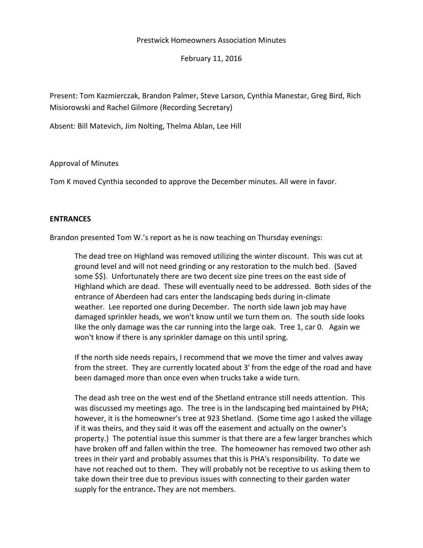# Prestwick Homeowners Association Minutes

February 11, 2016

Present: Tom Kazmierczak, Brandon Palmer, Steve Larson, Cynthia Manestar, Greg Bird, Rich Misiorowski and Rachel Gilmore (Recording Secretary)

Absent: Bill Matevich, Jim Nolting, Thelma Ablan, Lee Hill

Approval of Minutes

Tom K moved Cynthia seconded to approve the December minutes. All were in favor.

# **ENTRANCES**

Brandon presented Tom W.'s report as he is now teaching on Thursday evenings:

The dead tree on Highland was removed utilizing the winter discount. This was cut at ground level and will not need grinding or any restoration to the mulch bed. (Saved some \$\$). Unfortunately there are two decent size pine trees on the east side of Highland which are dead. These will eventually need to be addressed. Both sides of the entrance of Aberdeen had cars enter the landscaping beds during in-climate weather. Lee reported one during December. The north side lawn job may have damaged sprinkler heads, we won't know until we turn them on. The south side looks like the only damage was the car running into the large oak. Tree 1, car 0. Again we won't know if there is any sprinkler damage on this until spring.

If the north side needs repairs, I recommend that we move the timer and valves away from the street. They are currently located about 3' from the edge of the road and have been damaged more than once even when trucks take a wide turn.

The dead ash tree on the west end of the Shetland entrance still needs attention. This was discussed my meetings ago. The tree is in the landscaping bed maintained by PHA; however, it is the homeowner's tree at 923 Shetland. (Some time ago I asked the village if it was theirs, and they said it was off the easement and actually on the owner's property.) The potential issue this summer is that there are a few larger branches which have broken off and fallen within the tree. The homeowner has removed two other ash trees in their yard and probably assumes that this is PHA's responsibility. To date we have not reached out to them. They will probably not be receptive to us asking them to take down their tree due to previous issues with connecting to their garden water supply for the entrance**.** They are not members.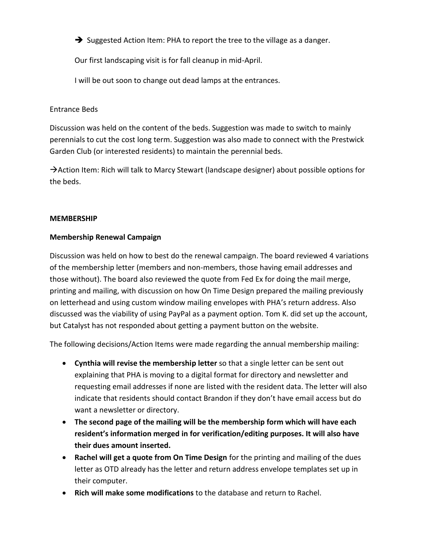$\rightarrow$  Suggested Action Item: PHA to report the tree to the village as a danger.

Our first landscaping visit is for fall cleanup in mid-April.

I will be out soon to change out dead lamps at the entrances.

# Entrance Beds

Discussion was held on the content of the beds. Suggestion was made to switch to mainly perennials to cut the cost long term. Suggestion was also made to connect with the Prestwick Garden Club (or interested residents) to maintain the perennial beds.

 $\rightarrow$  Action Item: Rich will talk to Marcy Stewart (landscape designer) about possible options for the beds.

# **MEMBERSHIP**

# **Membership Renewal Campaign**

Discussion was held on how to best do the renewal campaign. The board reviewed 4 variations of the membership letter (members and non-members, those having email addresses and those without). The board also reviewed the quote from Fed Ex for doing the mail merge, printing and mailing, with discussion on how On Time Design prepared the mailing previously on letterhead and using custom window mailing envelopes with PHA's return address. Also discussed was the viability of using PayPal as a payment option. Tom K. did set up the account, but Catalyst has not responded about getting a payment button on the website.

The following decisions/Action Items were made regarding the annual membership mailing:

- **Cynthia will revise the membership letter** so that a single letter can be sent out explaining that PHA is moving to a digital format for directory and newsletter and requesting email addresses if none are listed with the resident data. The letter will also indicate that residents should contact Brandon if they don't have email access but do want a newsletter or directory.
- **The second page of the mailing will be the membership form which will have each resident's information merged in for verification/editing purposes. It will also have their dues amount inserted.**
- **Rachel will get a quote from On Time Design** for the printing and mailing of the dues letter as OTD already has the letter and return address envelope templates set up in their computer.
- **Rich will make some modifications** to the database and return to Rachel.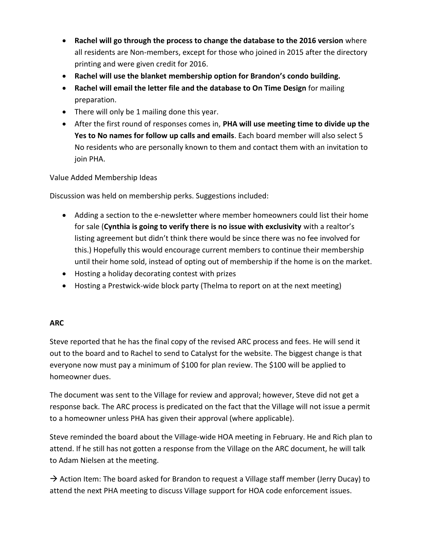- **Rachel will go through the process to change the database to the 2016 version** where all residents are Non-members, except for those who joined in 2015 after the directory printing and were given credit for 2016.
- **Rachel will use the blanket membership option for Brandon's condo building.**
- **Rachel will email the letter file and the database to On Time Design** for mailing preparation.
- There will only be 1 mailing done this year.
- After the first round of responses comes in, **PHA will use meeting time to divide up the Yes to No names for follow up calls and emails**. Each board member will also select 5 No residents who are personally known to them and contact them with an invitation to join PHA.

Value Added Membership Ideas

Discussion was held on membership perks. Suggestions included:

- Adding a section to the e-newsletter where member homeowners could list their home for sale (**Cynthia is going to verify there is no issue with exclusivity** with a realtor's listing agreement but didn't think there would be since there was no fee involved for this.) Hopefully this would encourage current members to continue their membership until their home sold, instead of opting out of membership if the home is on the market.
- Hosting a holiday decorating contest with prizes
- Hosting a Prestwick-wide block party (Thelma to report on at the next meeting)

# **ARC**

Steve reported that he has the final copy of the revised ARC process and fees. He will send it out to the board and to Rachel to send to Catalyst for the website. The biggest change is that everyone now must pay a minimum of \$100 for plan review. The \$100 will be applied to homeowner dues.

The document was sent to the Village for review and approval; however, Steve did not get a response back. The ARC process is predicated on the fact that the Village will not issue a permit to a homeowner unless PHA has given their approval (where applicable).

Steve reminded the board about the Village-wide HOA meeting in February. He and Rich plan to attend. If he still has not gotten a response from the Village on the ARC document, he will talk to Adam Nielsen at the meeting.

 $\rightarrow$  Action Item: The board asked for Brandon to request a Village staff member (Jerry Ducay) to attend the next PHA meeting to discuss Village support for HOA code enforcement issues.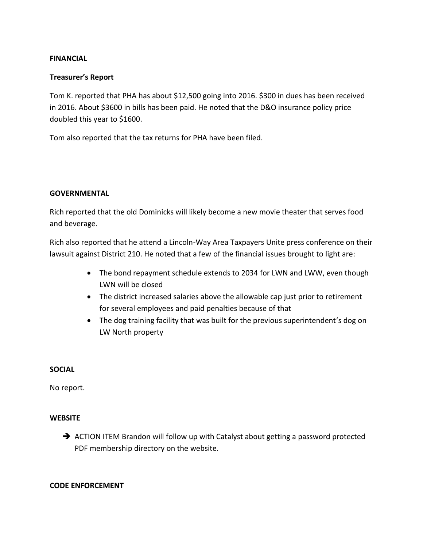# **FINANCIAL**

# **Treasurer's Report**

Tom K. reported that PHA has about \$12,500 going into 2016. \$300 in dues has been received in 2016. About \$3600 in bills has been paid. He noted that the D&O insurance policy price doubled this year to \$1600.

Tom also reported that the tax returns for PHA have been filed.

# **GOVERNMENTAL**

Rich reported that the old Dominicks will likely become a new movie theater that serves food and beverage.

Rich also reported that he attend a Lincoln-Way Area Taxpayers Unite press conference on their lawsuit against District 210. He noted that a few of the financial issues brought to light are:

- The bond repayment schedule extends to 2034 for LWN and LWW, even though LWN will be closed
- The district increased salaries above the allowable cap just prior to retirement for several employees and paid penalties because of that
- The dog training facility that was built for the previous superintendent's dog on LW North property

# **SOCIAL**

No report.

#### **WEBSITE**

 $\rightarrow$  ACTION ITEM Brandon will follow up with Catalyst about getting a password protected PDF membership directory on the website.

#### **CODE ENFORCEMENT**